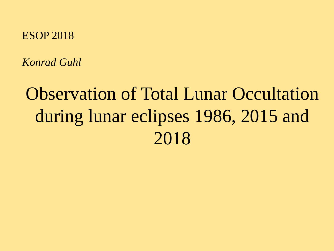### ESOP 2018

*Konrad Guhl*

# Observation of Total Lunar Occultation during lunar eclipses 1986, 2015 and 2018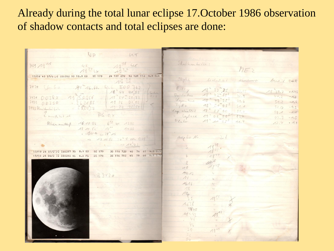## Already during the total lunar eclipse 17.October 1986 observation of shadow contacts and total eclipses are done:

 $VP$  $U_{1}$ Shallean trille: 3429 19 MM  $hF$ 24 107 270 92 128 112 4.9 0.4 17/18 43 57/0 2 500362 93 10.9 KO OE 179 Object bedall !! bered / BAR Clember 44th 16.66. Eint E00 362  $3430$  $\mathcal{B}_{i}(t_{y})$ 18 44 01.83  $1834.7$  $-1.45$ 18" 42" 555 Drister dus 3431 00382 1975.0566  $-1.3$ 19 24. 50.83  $44.2$ Usuanitus  $184.497355$  $34320$   $267185$ <br> $3433$  Unidenfield  $49.6$  $51.2$ 19 26 07.02  $-1,6$ Tyda 18" 51 055  $54.1$ 19 27 95:54  $52.0$  $-0,9$ Veg clairbil 18" 57"00  $58.1 - 1.1$ L'unidelut 15  $P6 - 0.4$ Caplace 19" 02 250  $074$  $03.9 - 1.5$  $D$ lo to  $194 n \times 255$  $11.4$ Uber any thep 16.10.86 6° 47 13.95  $12.4$  $-1.0$  $19 10.66$   $10^{10}$   $14.35$ = gara in 78" 15 megativ No. ~ 17 10.86 70" = 014 0,48  $2 \rightarrow \sqrt{4}$ 30 116 720 40 74 61 4.9 0.3 17/19 24 51/D 2 E00387 95 8.9 KO OE 179 30 116 710 45 79  $664.90.3$ 17/19 26 06/D 2 E00390 95 9.0 FS **OE 179**  $10$ AAN B3420  $A4$  $ALA6$  $11$  $\mathbf{11}$  $A638$ 3840 Ang (4) 40  $50$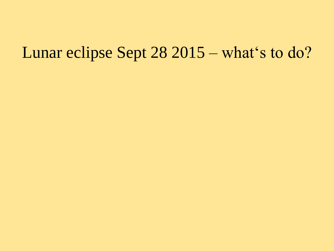# Lunar eclipse Sept 28 2015 – what's to do?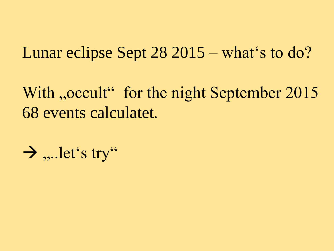# Lunar eclipse Sept  $28\,2015$  – what's to do?

With "occult" for the night September 2015 68 events calculatet.

$$
\rightarrow
$$
 ,...let's try<sup>"</sup>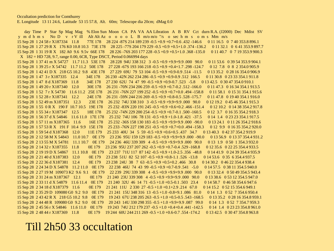day Time P Star Sp Mag Mag % Elon Sun Moon CA PA VA AA Libration A B RV Cct durn R.A. (J2000) Dec Mdist SV y m d h m s No D v r V ill Alt Alt Az o o o o L B m/o m/o "/s o sech m s o m s Mm m/s 15 Sep 28 1 24 58 r X187334 11.8 77E 178 28 224 -87S 214 189 239 -0.5 +0.9 +0.7+0.6 .432 -146.6 0 11 16.5 0 7 40 353.8 896.1 15 Sep 28 1 27 29 R X 176 K0 10.8 10.3 73E 178 28 225 -77S 204 179 229 -0.5 +0.9 +0.5 +1.0 .374 -136.2 0 11 32.1 0 6 41 353.9 897.7 15 Sep 28 1 31 19 R X 182 A0 9.6 9.5v 66E 178 28 226 -76S 203 177 228 -0.5 +0.9 +0.5+1.0 .368 -135.0 0 11 40.7 0 7 19 353.9 900.3  $X$  182 = HD 728, 9.7, range 0.00, 6CR, Type DSCT, Period 0.066994 days 15 Sep 28 1 37 41 m X 54727 11.7 11.3 53E 178 28 228 94U 338 312 3 -0.5 +0.9 +9.9 +9.9 .000 90.0 0 11 53.6 0 39 54 353.9 904.1 15 Sep 28 1 39 25 r X 54742 11.7 11.2 50E 178 27 228 -67S 193 166 218 -0.5 +0.9 +0.4+1.7 .298 -124.7 0 12 7.8 0 8 2 354.0 905.9 1.15 Sep 28 1 42 41 D X 218 G5 10.2 9.8 43E 178 27 229 69U 79 53 104 -0.5 +0.9 +0.9 -0.9 .514 -11.5 0 13 35.2 0 28 16 354.0 906.9 15 Sep 28 1 47 3 r X187335 12.4 34E 178 26 230 -42N 262 234 286 -0.5 +0.9 +0.9 -0.9 .512 166.5 0 11 30.8 0 23 33 354.1 911.8 15 Sep 28 1 47 8 d X187369 11.8 34E 178 27 230 62U 74 47 99 -0.5 +0.9 +0.9 -0.7 .523 -5.8 0 13 42.5 0 30 47 354.0 910.1 15 Sep 28 1 49 20 r X187340 12.0 30E 178 26 231 -70N 234 206 259 -0.5 +0.9 +0.7 -0.2 .512 -166.0 0 11 47.3 0 16 34 354.1 913.5 158.8 1-94.00 194.158.8 1.6 1.6 1.7 1.6 11.2 1.6 1.7 1.6 1.2 1.6 1.7 1.6 1.7 1.6 1.7 1.6 1.7 1.6 1.7 1.6 1.7 1 0 11 58.1 0 15 31 354.1 915.6 15 Sep 28 1 52 28 r X187341 12.2 24E 178  $26\,231\,$  -59N 244 216 269 -0.5 +0.9 +0.8 -0.5 .528 -175.7 0 11 47.8 0 19 40 354.1 916.0 15 Sep 28 1 52 49 m X187351 12.3 23E 178 26 232 74U 338 310 3 -0.5 +0.9 +9.9 +9.9 .000 90.0 0 12 19.2 0 45 46 354.1 915.3 15 Sep 28 1 55 0 R X 190 F 10.7 10.5 19E 178 25 232 -83N 220 191 245 -0.5 +0.9 +0.6+0.2 .466 -151.4 0 12 10.2 0 14 38 354.2 917.8 15 Sep 28 1 55 34 r X187347 12.5 18E 178 25 232 -74N 229 200 254 -0.5 +0.9 +0.7 -0.1 .500 -160.5 0 12 3.7 0 16 35 354.2 918.3 15 Sep 28 1 56 37 d X 54846 11.6 11.0 17E 178 25 232 74U 106 78 131 -0.5 +0.9 +1.0-1.8 .421 -37.5 0 14 1.4 0 23 23 354.1 917.5 15 Sep 28 1 57 11 m X187365 11.6 16E 178 25 232 -36S 158 130 183 -0.5 +0.9 +9.9 +9.9 .000 -90.0 0 13 24.1 0 11 26 354.2 918.6 15 Sep 28 1 57 53 R X 191 F 10.4 9.9 15 E 178 25 233 -76N 227 198 251 -0.5 +0.9 +0.7 +0.0 .494 -158.3 0 12 9.9 0 16 35 354.2 920.0 15 Sep 28 1 59 54 d X187368 12.0 11E 179 25 233 40U 34 5 59 -0.5 +0.9 +0.6 +0.5 .437 34.7 0 13 40.3 0 42 37 354.2 919.9 15 Sep 28 2 12 58 M X 54843 11.0 10.7 0E 179 23 236 95U 159 129 183 -0.5 +0.9 +9.9 +9.9 .000 -90.0  $0.1356.9$  0.13 37 354.4 931.2 15 Sep 28 2 13 55 M X 54781 11.1 10.7 0E 179 24 236 46U 339 309 4 -0.5 +0.9 +9.9 +9.9 .000 90.0 0 13 1.9 0 50 1 354.3 932.0 15 Sep 28 2 14 32 r X187355 11.8 0E 179 23 236 95U 237 207 262 -0.5 +0.9 +0.7-0.4 .529 -168.8 0 12 35.6 0 22 25 354.4 933.5 15 Sep 28 2 19 19 D X 54867 11.1 10.8 0E 179 23 237 71U 117 87 142 -0.5 +0.9 +1.0-2.5 .356 -48.8 0 14 41.9 0 24 39 354.4 935.9 15 Sep 28 2 21 40 d X187383 12.0 0 14 53.6 0 35 6 354.4 937.5 107 -0.5 +0.9 +0.8 -1.1 .526 -13.8 0 14 53.6 0 35 6 354.4 937.5 15 Sep 28 2 22 36 d X187381 12.4 0E 179 23 238 24U 38 7 63 -0.5 +0.9 +0.5 +0.2 .466 30.8 0 14 30.2 0 46 22 354.4 938.4 15.41 5.0 5 + 0.9 + 0.7 - 0.9 + 0.7 - 0.9 + 0.7 + 0.9 + 0.9 + 0.9 + 0.7 + 0.9 + 0.7 + 0.9 + 0.7 + 0.9 + 0.7 + 0.9 + 0.7 + 0.9 + 0.7 + 0.9 + 0.7 + 0.9 + 0.7 + 0.9 + 0.7 + 0.9 + 0.7 + 0.9 + 0.7 + 0.9 + 0.7 + 0.9 + 0.7 + 0.9 0 14 57.5 0 38 11 354.5 940.0 15 Sep 28 2 27 19 M 109073 K2 9.6 9.1 0E 179 22 239 29U 339 308 4 -0.5 +0.9 +9.9 +9.9 000 90.0 0 13 32.4 0 50 49 354.5 943.4 15 Sep 28 2 31 24 m X187367 12.1  $0E179$  21 240 23U 339 308 4 -0.5 +0.9 +9.9 +9.9 .000 90.0 0 13 38.6 0 53 12 354.5 947.0 15 Sep 28 2 33 11 d X 54879 11.6 11.4 0E 179 21 240 32U 46 14 71 -0.5 +1.0 +0.5 -0.1 .503 23.4 0 14 58.7 0 46 58 354.6 947.6 15 Sep 28 2 34 18 d X187379 11.6 0E 179 21 241 11U 2 330 27 -0.5 +1.0 +0.1 + 2.9 .214 67.0 0 14 15.2 0 52 15 354.6 949.1 15 Sep 28 2 35 29 D 109080 G0 9.2 9.0 0E 179 21 241 15U 348 316 13 -0.5 +1.0 -0.8 + 9.1 .086 81.0 0 14 1.3 0 52 7 354.6 950.4 15 Sep 28 2 43 42 R X 218 G5 10.2 9.8 0E 179 19 243 67U 238 205 263 -0.5 +1.0 +0.5 -0.5 .543 -168.5 0 13 35.2 0 28 16 354.8 959.1 15 Sep 28 2 44 48 R 109080 G0 9.2 9.0 0E 179 20 243 14U 330 298 355 -0.5 +1.0 +9.9+9.9 .087 99.0 0 14 1.3 0 52 7 354.7 959.3 15 Sep 28 2 45 56 r X 54846 11.6 11.0 0E 179 19 243 74U 212 179 237 -0.5 +1.0 +0.4 +0.4 .441 -142.5 0 14 1.4 0 23 23 354.8 961.0 15 Sep 28 2 48 44 r X187369 11.8 0 13 42.5 0 30 47 354.8 963.8 10 + 0.0 + 0.0 + 0.0 + 0.0 + 0.0 + 0.0 + 0.0 + 0.0 + 0.0 + 0.0 + 0.0 + 0.0 + 0.0 + 0.0 + 0.0 + 0.0 + 0.0 + 0.0 + 0.0 + 0.0 + 0.0 + 0.0 + 0.0 + 0.0 + 0.0 + 0.0 + 0.0 + 0.0 + 0.0 + 0.0 + 0.0 + 0.

### Till 2h50 33 occultation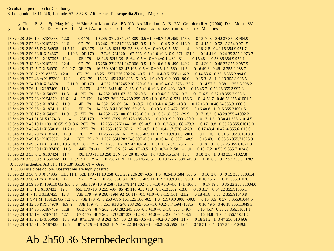**Occultation prediction for Comthurey** E. Longitude 13 11 24.6, Latitude 53 15 57.8, Alt. 60m; Telescope dia 20cm; dMag 0.0

day Time P Star Sp Mag Mag % Elon Sun Moon CA PA VA AA Libration A B RV Cct durn R.A. (J2000) Dec Mdist SV y mdhms NoD v rVill AltAltAzooooL B m/om/o"/sosechms om s Mm m/s

15 Sep 28 2 50 10 r X187368 12.0 0E 179 19 245 37U 284 251 309 -0.5 +1.0 +0.7-1.9 .459 145.3 0 13 40.3 0 42 37 354.8 964.9 15 Sep 28 2 57 38 r X187379 11.6 0E 179 18 246 12U 317 283 342 -0.5 +1.0 +1.0-4.5 .219 113.0 0 14 15.2 0 52 15 354.9 971.5 15 Sep 28 2 59 35 D X 54935 11.5 11.1 0E 179 18 246 62U 58 25 83 -0.5 +1.0 +0.5 -0.5 .551 11.4 0 16 2.8 0 49 15 354.9 971.7 15 Sep 28 2 59 38 R X 54867 11.1 10.8 0E 179 17 246 73U 201 167 226 -0.5 +1.0 +0.3+0.9 .371 -131.2 0 14 41.9 0 24 39 355.0 973.7 15 Sep 28 2 59 52 d X187397 12.4 0E 179 18 246 52U 39 5 64 -0.5 +1.0 +0.4 +0.1 .481 31.1 0 15 48.1 0 53 36 354.9 972.1 15 Sep 28 3 13 58 r X187381 12.4 0E 179 16 250 27U 281 247 306 -0.5 +1.0 +0.6-1.8 .490 149.2 0 14 30.2 0 46 22 355.2 987.9 15 Sep 28 3 17 5 D X 54970 9.9 9.7 0E 179 16 250 89U 82 47 106 -0.5 +1.0 +0.5 -1.2 .560 -11.6 0 16 49.6 0 46 18 355.2 988.7 15 Sep 28 3 20 7 r X187383 12.0 0E 179 15 251 55U 236 202 261 -0.5 +1.0 +0.4-0.5 .558 -166.3 0 14 53.6 0 35 6 355.3 994.0 0E 179 15 251 45U 340 305 5 -0.5 +1.0 +9.9 + 9.9 .000 90.0 0 15 31.8 1 1 19 355.3 995.5 15 Sep 28 3 22 46 m X187393 12.1 15.5 (398.2 16 17.5 (398.2 16 17.5 175.2 16.4 17.5 175.3 175.3 175.3 175.3 175.3 175.3 175.3 175.3 175.3 175.3 175.3 175.3 175.3 175.3 175.3 175.3 175.3 175.3 175.3 175.3 175.4 175.4 175.5 175.4 175.5 175.4 175.4 175.4 175 15 Sep 28 3 26 1 d X187409 11.8 1E 179 14 252 84U 40 5 65 -0.5 +1.0 +0.3 +0.0 .498 30.3 0 16 45.7 0 58 28 355.3 997.8 15 Sep 28 3 26 56 d X 54977 11.8 11.4 2E 179 14 252 96U 67 32 92 -0.5 +1.0 +0.4 -0.8 .576 3.2 0 17 6.5 0 52 18 355.3 998.6 15 Sep 28 3 27 33 r X 54879 11.6 11.4 2E 179 14 252 36U 274 239 299 -0.5 +1.0 +0.5-1.6 .531 156.6 0 14 58.7 0 46 58 355.41001.5 15 Sep 28 3 28 55 d X187418 11.9 4E 179 14 252 5S 89 54 113 -0.5 +1.0 +0.4-1.4 .549 -18.3 0 17 16.0 0 46 34 355.31000.6 15 Sep 28 3 29 36 d X187411 12.1 5E 179 14 253 86U 35 360 60 -0.5 +1.0 +0.3 +0.2 .472 35.5 0 16 48.8 1 0 5 355.31001.5 15 Sep 28 3 41 21 M X187413 11.4 23E 179 12 255 -73N 160 125 185 -0.5 +1.0 +9.9+9.9 .000 -90.0 0 17 1.6 0 30 41 355 61014.5 0 17 19.8 0 35 23 355.61016.0 15 Sep 28 3 43 48 D X 55018 11.2 11.1 27E 179 12 255 -10N 97 61 122 -0.5 +1.0 +0.4-1.7 .526 -26.3 0 17 48.4 0 47 4 355.61016.0 15 Sep 28 3 45 29 m X187415 12.3  $30E179$  11 256 -75N 161 125 185 -0.5 +1.0 +9.9 +9.9 .000 -90.0 0 17 10.1 0 31 57 355.61018.9 15 Sep 28 3 49 18 r X187397 12.4 38E 179 -12 11 257 55U 282 246 307 -0.5 +1.0 +0.4-1.8 .507 148.9 0 15 48.1 0 53 36 355.71023.9 15 Sep 28 3 49 32 D X 314 F5 10.5 10.3 38E 179 -12 11 256 1N 82 47 107 -0.5 +1.0 +0.3 -1.2 .578 -11.7 0 18 1.0 0 52 25 355.61021.8 15 Sep 28 3 52 20 D X187426 11.3 44E 179 -11 11 257 0N 82 46 107 -0.5 +1.0 +0.3 -1.2 .581 -11.0 0 18 7.2 0 53 9 355.71024.8 15 Sep 28 3 55 6 D X187424 11.4 49E 179 -11 10 258 25N 56 20 81 -0.5 +1.0 +0.3 -0.6 .574 15.0 0 18 2.6 1 0 43 355.71027.8 158cm 28 3 55 50 d X 55034d 11.7 11.2 51E 179 -11 10 258 -41N 121 85 145 -0.5 +1.0 +0.4-2.7 .384 -49.8 0 18 6.5 0 42 53 355.81028.9 X 55034 is double: AB 11.5 11.6 1.8" 351.0,  $dT = -3sec$ 

X 55034 is a close double. Observations are highly desired

168.6 15 Sep 28 3 56 9 R X 54935 11.5 11.1 52E 179 -11 10 258 65U 262 226 287 -0.5 +1.0 +0.3 -1.3 .584 0 16 2.8 0 49 15 355.81031.4 15 Sep 28 3 56 21 m X187410 12.1 52E 179 -11 10 258 88U 341 305 6 -0.5 +1.0 +9.9 +9.9 .000 90.0 0 16 46.6 1 8 19 355.81030.3 15 Sep 28 3 59 30 R 109110 G5 9.0 8.6 58E 179 -10 9 258 -81S 178 141 202 -0.5 +1.0 +0.0+4.0 .171 -106.7 0 17 19.8 0 35 23 355.81034.0 15 Sep 28 4 3 1 d X187432 12.3 65E 179 -10 9 259 -9N 85 49 110 -0.5 +1.0 +0.3 -1.3 .582 -13.8 0 18 31.7 0 54 22 355.91036.1 15 Sep 28 4 7 18 d X187435 12.3 73E 179 -9 9 260 -19N 92 56 117 -0.5 +1.0 +0.3 -1.5 .561 -21.2 0 18 41.8 0 53 2 355 91040.8 15 Sep 28 4 9 41 M 109126 G5 7.2 6.5 78E 179 -9 8 260 -89N 161 125 186 -0.5 +1.0 +9.9+9.9 .000 -90.0 0 18 3.6 0 37 0 356.01044.5 168.5 - 168.5 - 1.0 + 0.2 - 0.0 + 1.0 + 0.2 - 0.7 + 168.5 - 179 - 189.5 - 179 - 189.5 - 199.7 - 179 - 189.5 - 1 0 16 49.6 0 46 18 356.11049.3 15 Sep 28 4 14 36 r X187409 11.8 86E 179 -8 7 262 85U 282 245 306 -0.5 +1.0 +0.2-1.8 .525 149.7 0 16 45.7 0 58 28 356.11051.1 15 Sep 28 4 15 19 r X187411 12.1 87E 179 -8 7 262 87U 287 250 312 -0.5 +1.0 +0.2-2.0 .495 144.5 0 16 48.8 1 0 5 356.11051.7 0 18 51.2 1 3 47 356.01049.6 15 Sep 28 4 15 28 D X 55059 10.3 9.8 87E 179 -8 8 262 9N 60 23 85 -0.5 +1.0 +0.2 -0.7 .594 11.7 15 Sep 28 4 15 31 d X187438 12.5 87E 179 -8 8 262 10N 59 22 84 -0.5 +1.0 +0.2 -0.6 .592 12.5 0 18 51.0 1 3 57 356.01049.6

### Ab 2h50 36 Sternbedeckungen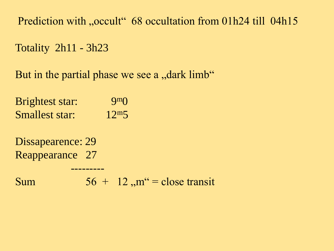Prediction with "occult" 68 occultation from 01h24 till 04h15

Totality 2h11 - 3h23

But in the partial phase we see a , dark limb"

Brightest star: 9m0 Smallest star: 12m5

Dissapearence: 29 Reappearance 27

Sum  $56 + 12$ ,  $m'' =$  close transit

---------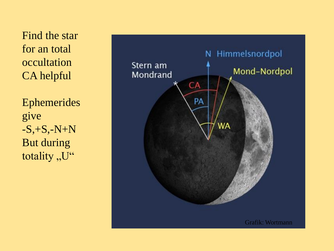Find the star for an total occultation CA helpful

Ephemerides give -S,+S, -N+N But during totality "U"

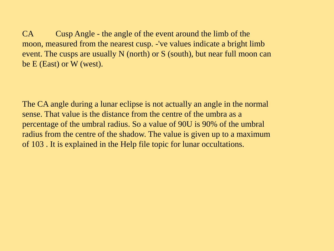CA Cusp Angle - the angle of the event around the limb of the moon, measured from the nearest cusp. -'ve values indicate a bright limb event. The cusps are usually N (north) or S (south), but near full moon can be E (East) or W (west).

The CA angle during a lunar eclipse is not actually an angle in the normal sense. That value is the distance from the centre of the umbra as a percentage of the umbral radius. So a value of 90U is 90% of the umbral radius from the centre of the shadow. The value is given up to a maximum of 103 . It is explained in the Help file topic for lunar occultations.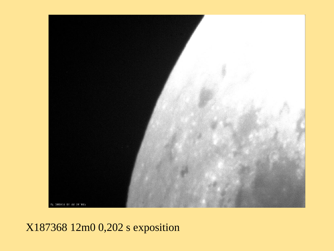

## X187368 12m0 0,202 s exposition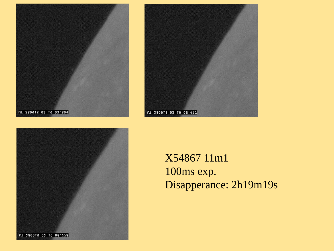





X54867 11m1 100ms exp. Disapperance: 2h19m19s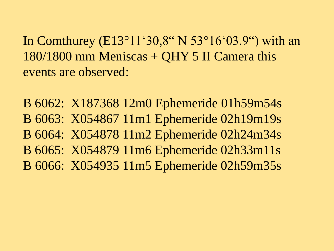In Comthurey (E13°11'30,8" N 53°16'03.9") with an 180/1800 mm Meniscas + QHY 5 II Camera this events are observed:

B 6062: X187368 12m0 Ephemeride 01h59m54s B 6063: X054867 11m1 Ephemeride 02h19m19s B 6064: X054878 11m2 Ephemeride 02h24m34s B 6065: X054879 11m6 Ephemeride 02h33m11s B 6066: X054935 11m5 Ephemeride 02h59m35s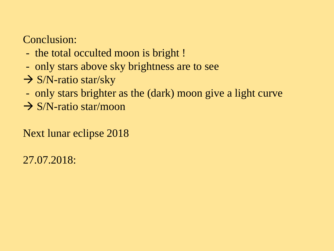## Conclusion:

- the total occulted moon is bright !
- only stars above sky brightness are to see
- $\rightarrow$  S/N-ratio star/sky
- only stars brighter as the (dark) moon give a light curve
- $\rightarrow$  S/N-ratio star/moon

Next lunar eclipse 2018

27.07.2018: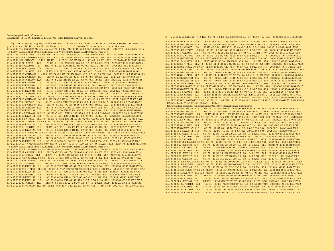#### Occultation prediction for Comthurey

E. Longitude 13 11 24.6, Latitude 53 15 57.8, Alt. 60m; Telescope dia 20cm; dMag 0.0

day Time P Star Sp Mag Mag % Elon Sun Moon CA PA VA AA Libration A B RV Cct durn R.A. (J2000) Dec Mdist SV v m d h m s No D v r V ill Alt Alt Az o o o o L B m/om/o "/s o sechm s o m s Mm m/s 18 Jul 27 19 7 34 D X 48369 M2 10.5 9.6v 34E 179 -1 0 124 74U 37 68 52 -0.1 +0.7 +1.1+2.6.276 49.1 20 27 17.9 -19 41 24 406.1 831.2 X 48369 = ASAS J202718-1941.4, 10.36, range 0.18, V. Type MISC, Period 158.814194 days, Phase 17 % 18 Jul 27 19 8 2 R X174375 11.4 10.9 33E 179 -1 0 124 28N 305 337 321 -0.1 +0.7 +0.4 +0.9 324 140.3 20 25 50.6 -19 44 38 406.1 829.2 18 Jul 27 19 8 20 R 163560 G5 9.5 9.2 32E 179 -1 0 124 35N 312 344 328 -0.1 +0.7 +0.3 +0.7 .289 133.3 20 25 55.9 -19 43 14 406.1 828.9 18 Jul 27 19 9 10 r X174372 11.9 11.8 31E 179 -1 0 125 -32N 245 277 260 -0.1 +0.7 +0.8+1.9 .393 -159.2 20 25 46.6 -19 59 20 406.1 828.0 18 Jul 27 19 16 24 r X238991 12.3 17E 179 -2 1 126 -3N 270 301 286 -0.2 +0.7 +0.7 +1.5 .415 175.3 20 25 53.7 -19 52 50 406.0 820.5 18 Jul 27 19 21 5 r X239003 12.3 10 179 - 2 2 127 1021 228 259 243 - 0 2 + 0 7 + 1 0 + 2 2 328 - 142 4 20 26 18 1 - 20 238 405 9 816 1 18 Jul 27 19 21 31 d X239078 12.0 9E 179 -2 1 127 40U 117 148 133 -0.2 +0.7 +0.5 +1.1 .353 -31.8 20 28 1.0 -19 59 32 406.0 817.3 18 Jul 27 19 22 7 d X239085 12.0 8E 179 -2 2 127 35U 83 113 98 -0.2 +0.7 +0.8 +1.7 414 2.8 20 28 8.5 -19 50 53 405 9 816 9 18 Jul 27 19 22 10 M X174483 11.4 11.1 8E 179 - 2 1 127 75U 176 206 191 -0.2 +0.7 +9.9 +9.9 .000 -90.0 20 27 11.3 -20 7 35 406.0 815.9 18 Jul 27 19 22 42 m X239030 11.7 7E 179 -2 2 127 87U 355 26 11 -0.2 +0.7 +9.9 + 9.9 000 90.0 20 27 2.1 -19 37 10 405.9 815.4 18 Jul 27 19 24 14 r X239000 12.4 5E 179 -3 2 128 -22S 248 278 263 -0.2 +0.7 +0.9+1.9 .393 -162.3 20 26 12.2 -19 58 14 405.9 812.8 18 Iul 27 19 24 43 d X239081 11 5 5E 179 -3 2 127 40U 125 156 141 -0.2 +0.7 +0.5 +0.9 .317 -39.9 20 28 2.0 -20 1 10 405.9 814.1 18 Jul 27 19 24 50 d X239050 12.5 4E 179 -3 2 128 66U 167 197 183 -0.2 +0.7 -1.5 -4.0 060 -81.7 20 27 25.9 -20 7 0 405.9 812.9 18 Jul 27 19 24 56 r X239008 12.2 4E 179 -3 2 128 102U 308 339 324 -0.2 +0.7 +0.5 +0.8 .302 137.0 20 26 22.4 -19 43 31 405.9 812.4 4E 179 -3 2 127 36U 73 103 88 -0.2 +0.7 +0.8 +1.8 .404 12.2 20 28 12.2 -19 48 23 405.9 813.5 18 Iul 27 19 25 27 d X239088 12.5 18 Jul 27 19 25 40 r X238999 12.4 3E 179 -3 2 128 103U 256 286 271 -0.2 +0.7 +0.8+1.7 .406 -170.1 20 26 12.1 -19 56 17 405.9 811.3 18 Jul 27 19 30 7 d X174610 11.7 11.3 0E 179 -3 3 128 28U 80 110 95 -0.2 +0.7 +0.8 +1.7 409 5.2 20 28 22.2 -19 49 58 405.8 809.0 18 Jul 27 19 31 10 M X174492 10.1 10.0 0E 179 -3 3 129 81U 355 25 11 -0.2 +0.7 +9.9 +9.9 .000 90.0 20 27 16.4 -19 35 57 405.8 807.1 18 Jul 27 19 35 0 r X239018 12.4 0E 179 -4 3 130 86U 227 256 242 -0.2 +0.7 +1.1+2.2 .320 -141.7 20 26 43.1 -20 2 22 405.8 802.7 18 Jul 27 19 35 15 m X239049 11.9 0E 179 -4 3 130 79U 355 24 10 -0.2 +0.7 +9.9 +9.9 000 90.0 20 27 23.2 -19 35 20 405.7 803.2 0E 179 -4 3 130 65U 183 213 199 -0.2 +0.7 +3.0+7.1 .059 -98.3 20 27 25.9 -20 7 0 405.8 802.8 18 Iul 27 19 35 38 r X239050 12.5 18 Jul 27 19 35 56 d X239101 12.3 0E 179 -4 3 130 25U 77 106 92 -0.2 +0.7 +0.9 + 1.7 404 8.5 20 28 31.5 - 19 48 53 405.8 803.6 18 Jul 27 19 43 4 R X174466 10.6 9.9 0E 179 -5 4 131 78U 231 260 247 -0.2 +0.7 +1.1+2.1 335 -146.2 20 26 53.9 -20 1 16 405.7 795.2 18 Jul 27 19 45 10 d X239114 12.0 0E 179 -5 4 131 13U 88 117 104 -0.2 +0.7 +0.9+1.5 .403 -3.4 20 28 48.9 -19 51 32 405.6 795.0 18 Jul 27 19 48 8 d X174633 11.5 11.0 0E 179 -5 4 132 19U 131 159 146 -0.2 +0.7 +0.6 +0.7 .278 -46.2 20 28 38.7 -20 1 32 405.6 792.0 18 Jul 27 19 49 56 D 163609 G3 9.2 8.8 0E 179 -6 5 132 39U 45 73 61 -0.2 +0.7 +1.1 + 2.2 .310 39.5 20 28 38.9 -19 41 25 405.6 790.5 18 Jul 27 19 51 54 d X239123 11.9 0E 179 -6 5 133 18U 79 107 95 -0.2 +0.7 +0.9+1.6.399 5.4 20 28 59.5 -19 49 0 405.6 788.8 18 Jul 27 19 52 2 d X239115 12.1 0E 179 -6 5 133 11U 124 151 139 -0.2 +0.7 +0.7 +0.9 312 -38.9 20 28 50.3 -19 59 53 405.6 788.6 18 Jul 27 19 52 13 d X239127 12.0 0E 179 -6 5 133 12U 88 116 104 -0.2 +0.7 +0.9 +1.5 400 -3.5 20 29 0.9 -19 51 15 405.6 788.6 18 Iul 27 19 52 59 R 163583 M0 10 3 9 7 0 R 179 - 6 5 133 7411 302 330 318 -0 2 +0 7 +0 7 +0 9 317 142 5 20 27 6 7 -19 43 49 405 5 786 2 18 Jul 27 19 53 30 d X239122 12.4 0E 179 -6 5 133 27U 66 94 81 -0.2 +0.7 +1.0+1.8 379 18.7 20 28 57.8 -19 45 40 405.5 787.4 18 Jul 27 19 53 41 r X239028 12.5 0E 179 -6 5 134 71U 253 281 269 -0.2 +0.7 +1.0+1.7 .391 -168.3 20 27 1.1 -19 55 55 405.5 785.4 18 Jul 27 19 54 32 d X239129 12.3 0E 179 -6 5 133 9U 94 122 110 -0.2 +0.7 +0.9 +1.4 .394 -9.9 20 29 4.7 -19 52 49 405.5 786.6 18 Jul 27 19 54 53 R X 48369 M2 10.5 9.6y 0E 179 -6 6 134 71U 314 341 329 -0.3 +0.7 +0.6 +0.6 -261 130.8 20 27 17.9 -19 41 24 405.5 784.6 X 48369 = ASAS J202718-1941.4, 10.36, range 0.18, V, Type MISC, Period 158.814194 days, Phase 17 % 18 Jul 27 19 58 9 R 189296 G5 9.4 9.1 0E 179 -6 6 135 69U 271 298 287 -0.3 +0.7 +0.9+1.4 .394 173.2 20 27 5.7 -19 51 7 405.5 781.5 18 Jul 27 19 59 17 m X239082 11.7 0E 179 -7 6 134 60U 354 21 10 -0.3 +0.7 +9.9 +9.9 000 90.0 20 28 4.1 -19 36 15 405.4 781.4 18 Jul 27 20 3 6 r X239042 11.8 0E 179 -7 6 136 59U 249 276 265 -0.3 +0.7 +1.1+1.7 381 -164.7 20 27 18.2 -19 56 32 405 4 777.3 18 Jul 27 20 3 7 D X 48422 A2 9.9 9.5 0E 179 -7 6 135 34U 57 84 72 -0.3 +0.7 +1.1+1.9 .352 27.3 20 29 9.3 -19 43 18 405.4 779.0 18 Jul 27 20 4 26 D X174681 11.0 10.7 0E 179 -7 6 135 34U 58 85 74 -0.3 +0.7 +1.1 +1.9 .355 26.2 20 29 12.2 -19 43 29 405.4 777.8 18 Jul 27 20 8 17 r X239048 12.3 0E 179 -7 7 137 58U 276 302 291 -0.3 +0.7 +1.0+1.3 385 168.5 20 27 23.0 -19 49 36 405.3 773.0 18 Jul 27 20 10 56 d X239150 12.1 0E 179 -8 7 137 21U 107 133 123 -0.3 +0.7 +0.9+1.1 .361 -23.2 20 29 29.6 -19 55 25 405.3 772.4 18 Jul 27 20 12 26 R X174520 11.1 10.2 0E 179 -8 7 137 53U 269 294 284 -0.3 +0.7 +1.0+1.4 .390 175.4 20 27 29.7 -19 51 15 405.3 769.5 18 Jul 27 20 14 38 d X239148 12.1 0E 179 -8 7 137 42U 55 81 71 -0.3 +0.7 +1.2 +1.9 .342 28.9 20 29 27.4 -19 42 26 405.3 769.3 0E 179 - 8 7 138 36U 74 99 89 - 0.3 + 0.7 + 1.1 + 1.6 .384 10.3 20 29 36.8 - 19 46 43 405.3 769.1 18 Iul 27 20 15 0 d X 239152 12 4 18 Jul 27 20 17 12 d X239145 12.0 0E 179 -8 8 138 46U 44 70 60 -0.3 +0.7 +1.3 + 2.1 .301 39.4 20 29 24.1 -19 40 14 405.2 767.2 18 Jul 27 20 18 53 d X239139 12.5 0E 179 -9 8 139 23U 143 168 159 -0.3 +0.7 +0.7 +0.2 199 -59.2 20 29 20.8 -20 2 29 405.3 765.5 0E 179 -9 8 139 32U 224 249 240 -0.3 +0.7 +1.3+2.0 .298 -140.2 20 28 2.0 -20 1 10 405.2 763.2 18 Iul 27 20 20 35 r X239081 11 5 18 Jul 27 20 20 37 r X174539 11.6 10.9 0E 179 -9 8 139 44U 267 292 283 -0.3 +0.7 +1.1+1.4 .387 176.9 20 27 43.3 -19 51 22 405.2 763.0

#### 18 Jul 27 20 22 50 d X174697 11.9 11.9 0E 179 -9 8 139 25U 148 173 164 -0.3 +0.7 +0.6-0.1 166 -64.5 20 29 22.3 -20 3 5 405.2 762.5

18 Jul 27 20 23 29 r X239078 12.0 0E 179 -9 8 140 31U 232 256 248 -0.3 +0.7 +1.2+1.9 .329 -148.3 20 28 1.0 -19 59 32 405.2 760.9 18 Jul 27 20 26 56 d X239163 11.8 0E 179 -9 8 140 35U 126 150 141 -0.3 +0.7 +0.9 +0.7 .286 -42.2 20 29 46.9 -19 59 0 405.2 759.6 18 Jul 27 20 32 6 d X239165 12.0 0E 179 -10 9 141 57U 48 71 63 -0.4 +0.8 +1.3 +1.9 .312 35.6 20 29 51.0 -19 40 14 405.1 755.7 18 Jul 27 20 32 14 D X174759 10.8 10.6 0E 179 -10 9 141 55U 68 92 84 -0.4 +0.8 +1.2 +1.6 .371 15.0 20 30 3.2 -19 44 42 405.1 755.7 18 Jul 27 20 36 5 r X239085 12.0 0E 179 -10 9 142 28U 266 289 282 -0.4 +0.8 +1.2 +1.3 .381 177.0 20 28 8.5 -19 50 53 405.0 751.4 18 Jul 27 20 37 25 D X174783 11.4 11.0 0E 179 -10 9 142 60U 72 95 87 -0.4 +0.8 +1.2 +1.5 .374 11.6 20 30 12.8 -19 45 16 405.0 751.9 18 Jul 27 20 37 35 d X174760 11.5 11.0 0E 179 -10 10 142 62U 53 75 68 -0.4 +0.8 +1.3 +1.8 .328 30.7 20 30 3.3 -19 40 56 405.0 751.8 18 Jul 27 20 38 17 r X239088 12.5 0E 179 - 10 10 143 30U 276 298 291 - 0.4 + 0.8 + 1.1 + 1.2 .372 167.6 20 28 12.2 - 19 48 23 405.0 749.9 18 Iul 27 20 39 31 E X 174633 11 5 11 0 0 R 179 - 11 10 143 1211 217 240 233 - 0 4 + 0 8 + 1 4 + 2 1 264 - 133 9 20 28 38 7 - 20 1 32 405 0 749 2 18 Jul 27 20 39 39 D 163632 G0 8.9 8.7 0E 179 -11 10 143 62U 71 94 87 -0.4 +0.8 +1.2+1.5 .373 11.7 20 30 16.4 -19 45 6 405.0 750.3 18 Jul 27 20 40 26 D X174797 11.1 10.2 0E 179 -11 10 143 57U 101 124 117 -0.4 +0.8 +1.1 +1.1 363 -17.8 20 30 19.6 -19 52 35 405.0 749.8 18 Jul 27 20 43 38 d X239180 12.3 0E 179 -11 10 144 60U 104 126 120 -0.4 +0.8 +1.1+1.0 .354 -21.2 20 30 24.1 -19 53 15 405.0 747.5 18 Jul 27 20 44 39 r X174610 11.7 11.3 0E 179 -11 10 144 23U 268 290 284 -0.4 +0.8 +1.2 +1.2 .377 174.7 20 28 22.2 -19 49 58 405.0 745.4 18 Jul 27 20 46 24 d X239183 11.7 0E 179-11 10 144 62U 111 133 126 -0.4 +0.8 +1.1 +0.9 .335 -27.9 20 30 26.4 -19 54 46 405.0 745.5 18 Iul 27 20 47 32 d X239184 12 4 0E 179-11 10 145 62U 114 135 129 -0.4 +0.8 +1.1 +0.9 .325 -30.8 20 30 27.0 -19 55 24 405.0 744.9 18 Jul 27 20 48 47 m X239156 11.6 0E 179-11 10 145 38U 173 194 189 -0.4 +0.8 +9.9+9.9 .000 -90.0 20 29 39.2 -20 4 18 405.0 743.4 18 Jul 27 20 48 58 R 163609 G3 9.2 8.8 0E 179-11 11 145 41U 303 324 318 -0.4 +0.8 +1.1+0.7 .291 140.4 20 28 38.9 -19 41 25 404.9 742.7 0E 179-11 10 145 59U 129 151 145 -0.4 +0.8 +1.1 +0.5 .259 -46.6 20 30 21.6 -19 58 44 404.9 743.1 18 Jul 27 20 49 54 d X239178 12 4 18 Jul 27 20 50 9 d X239176 12.2 0E 179-11 10 145 54U 143 164 158 -0.4 +0.8 +1.0+0.1 .189 -59.9 20 30 11.8 -20 1 4 404.9 742.7 18 Jul 27 20 50 21 r X239115 12.1 0E 179 - 11 11 146 8U 224 245 240 - 0.4 + 0.8 + 1.4 + 1.8 . 294 - 141.2 20 28 50.3 - 19 59 53 404 9 741.8 18 Jul 27 20 50 29 r X239101 12.3 0E 179 -11 11 146 23U 272 293 287 -0.4 +0.8 +1.2 +1.2 .372 171.3 20 28 31.5 -19 48 53 404.9 741.6 18 Jul 27 20 50 58 D 189367cG5 9.3 8.9 0E 179 -12 11 145 66U 114 135 129 -0.4 +0.8 +1.1 +0.9 .324 -30.7 20 30 32.6 -19 55 12 404.9 742.6 189367 is double: \*\* 9.7 9.7 0.10" 90.0,  $dT = +0.28$ sec

#### 189367 has been reported as non-instantaneous (OCc 190). Observations are highly desired

18 Jul 27 20 51 33 d X239188 12.5 0E 179-12 11 145 76U 57 79 73 -0.4 +0.8 +1.3 +1.6 .341 25.3 20 30 28.8 -19 41 21 404.9 742.3 18 Jul 27 20 51 34 d X239182 12.0 0E 179-12 11 145 62U 127 148 142 -0.4 +0.8 +1.1 +0.6 .272 -43.9 20 30 26.1 -19 58 6 404.9 742.0 18 Jul 27 20 52 33 D X239199 11.4 0E 179-12 11 146 71U 102 123 117 -0.4 +0.8 +1.2 +1.0 .356 -19.2 20 30 38.9 -19 52 16 404.9 741.6 18 Jul 27 20 52 43 M X174739 11.2 9.8 0E 179 -12 11 146 43U 173 194 188 -0.4 +0.8 +9.9+9.9 .000 -90.0 20 29 46.1 -20 5 1 404.9 740.8 18 Jul 27 20 55 25 r X174697 11.9 11.9 0E 179 - 12 11 147 29U 198 219 214 - 0.4 + 0.8 + 1.5 + 2.7 . 161 - 115.5 20 29 22.3 - 20 3 5 404.9 738.8 18 Jul 27 20 57 12 d X239204 11.8 0E 179 11 147 74U 111 132 127 -0.4 +0.8 +1.2 +0.9 .329 -28.8 20 30 43.4 -19 54 23 404.9 738.5 18 Jul 27 20 57 50 r X239139 12.5 0E 179 11 147 27U 203 224 219 -0.4 +0.8 +1.5 + 2.4 .192 -120.8 20 29 20.8 -20 2 29 404.9 737.2 18 Jul 27 20 57 54 d X239197 11.6 0E 179 11 147 83U 56 76 72 -0.4 +0.8 +1.3 +1.6 .335 26.6 20 30 38.0 -19 40 42 404.8 738.2 18 Jul 27 20 58 0 m X239153 11.8 0E 179 12 147 71U 353 13 8 -0.4 +0.8 +9.9 + 9.9 -0.00 90.0 20 29 37 5 -19 33 20 404.8 737.4 18 Jul 27 21 0 46 r X239114 12.0 0E 179 12 148 16U 259 279 275 -0.4 +0.8 +1.3 +1.3 .373 -176.6 20 28 48.9 -19 51 32 404.8 735.0 18 Jul 27 21 2 30 d X239213 12.0 0E 179 12 148 87U 73 93 89 0.4 + 0.8 + 1.3 + 1.3 .369 9.2 20 30 53.4 - 19 44 29 404.8 735.4 18 Jul 27 21 4 31 d X239216 12 1 0E 179 12 148 82U 113 132 128 -0.4 +0.8 +1.2 +0.8 .321 -30.4 20 30 54.4 -19 54 21 404.8 734.0 18 Jul 27 21 6 16 M X 48446 K0 9.8 9.2 0E 179 12 149 76U 352 12 8 -0.5 +0.8 +9.9+9.9 000 90.0 20 29 50.4 -19 33 7 404.7 732.4 18 Jul 27 21 6 22 r X239122 12.4 0E 179 12 149 33U 281 300 297 -0.5 +0.8 +1.3+0.9 352 161.1 20 28 57.8 -19 45 40 404.8 731.8 18 Jul 27 21 6 27 d X239223 12.1 0E 179 12 149 88U 98 117 113 -0.5 +0.8 +1.3 +1.0.359 -15.5 20 31 1.6 -19 50 32 404.8 733.0 18 Jul 27 21 7 25 d X239221 12.5 0E 179 12 149 86U 112 131 127 -0.5 +0.8 +1.2 +0.8 .323 -29.6 20 30 59.3 -19 54 0 404.8 732.3 18 Jul 27 21 8 10 r X239123 11.9 0E 179 12 149 26U 268 287 283 -0.5 +0.8 +1.3 +1.1 .369 174.5 20 28 59.5 -19 49 0 404.7 730.7 18 Iul 27 21 8 21 r X239127 12 0 0E 179 12 150 22U 259 278 275 -0.5 +0.8 +1.3 + 1.2 .370 - 176.6 20 29 0.9 - 19 51 15 404.7 730.5 18 Jul 27 21 9 37 r X239129 12.3 0E 179 12 150 21U 252 271 268 -0.5 +0.8 +1.3+1.3 .365 -170.2 20 29 4.7 -19 52 49 404.7 729.8 18 Jul 27 21 12 13 R X 48422 A2 9.9 9.5 0E 179 13 150 42U 290 308 305 -0.5 +0.8 +1.3 +0.8 329 152.6 20 29 9.3 -19 43 18 404.7 728.4 18 Jul 27 21 14 16 R X174681 11.0 10.7 0E 179 13 151 43U 288 306 304 -0.5 +0.8 +1.3 +0.8 331 153.7 20 29 12.2 -19 43 29 404.7 727.3 18 Jul 27 21 18 4 r X239145 12.0 3E 179 13 152 54U 301 319 317 -0.5 +0.8 +1.3+0.5 .284 140.5 20 29 24.1 -19 40 14 404.7 725.3 18 Jul 27 21 18 41 D 163649 K0 9.4 8.8 4E 179 13 151 -45N 90 108 106 -0.5 +0.8 +1.3 +1.0 .365 -8.2 20 31 21.3 -19 47 56 404.7 726.1 18 Jul 27 21 18 45 d X174877 11.6 10.9 4E 179 13 151 95U 122 140 138 -0.5 +0.8 +1.3+0.5 .280 -40.6 20 31 11.7 -19 55 51 404.7 725.9 18 Jul 27 21 21 42 r X239150 12.1 8E 179 13 153 35U 239 256 254 -0.5 +0.8 +1.4 +1.4 .338 -156.9 20 29 29.6 -19 55 25 404.7 723.4 18 Jul 27 21 23 30 r X239148 12.1 11E 179 13 153 52U 291 308 306 -0.5 +0.8 +1.4 +0.7 321 151.0 20 29 27.4 -19 42 26 404.6 722.5 18 Jul 27 21 24 2 r X239163 11.8 12E 179 13 153 46U 220 236 235 -0.5 +0.8 +1.4 + 1.7 .272 -137.8 20 29 46.9 -19 59 0 404.6 722.3 18 Jul 27 21 25 12 m X239198 12.4 14E 179 13 153 78U 172 188 187 -0.5 +0.8 +9.9 +9.9 .000 -90.0 20 30 38.3 -20 3 20 404.6 722.2 18 Jul 27 21 27 1 d X239236 12.5 17E 179 13 153 -41N 84 100 99 -0.5 +0.8 +1.4 +1.0 .366 -2.4 20 31 34.0 -19 45 55 404.6 721.8 18 Jul 27 21 27 18 D X239218 11.4 17E 179 14 153 19N 23 40 39 -0.5 +0.8 +1.4 +2.2 194 58.0 20 30 57.0 -19 33 55 404.6 721.4 18 Jul 27 21 29 22 r X239176 12.2 21E 179 13 154 62U 202 218 217 -0.5 +0.8 +1.5+2.2 .184 -120.1 20 30 11.8 -20 1 4 404.6 719.8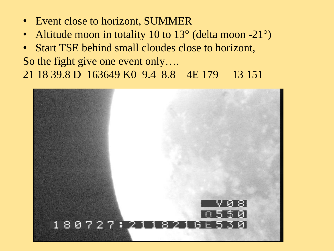- Event close to horizont, SUMMER
- Altitude moon in totality 10 to 13° (delta moon -21°)
- Start TSE behind small cloudes close to horizont, So the fight give one event only…. 21 18 39.8 D 163649 K0 9.4 8.8 4E 179 13 151